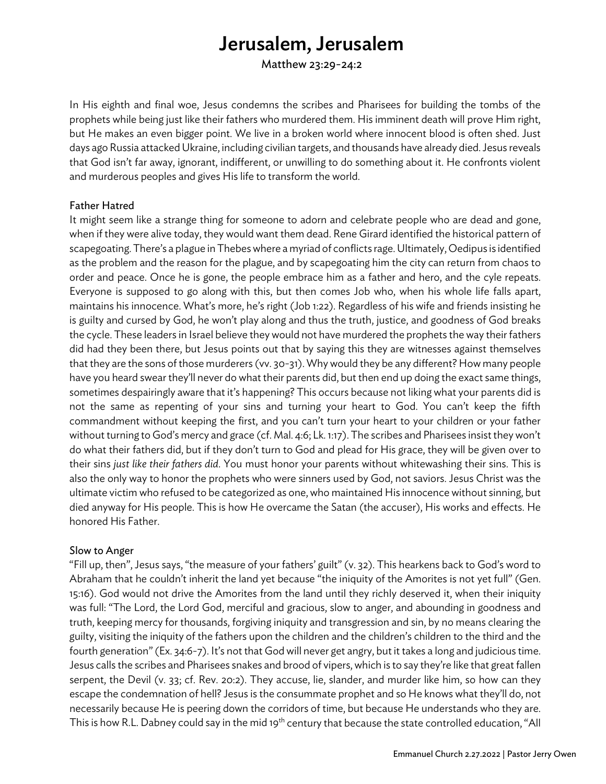# Jerusalem, Jerusalem

Matthew 23:29-24:2

In His eighth and final woe, Jesus condemns the scribes and Pharisees for building the tombs of the prophets while being just like their fathers who murdered them. His imminent death will prove Him right, but He makes an even bigger point. We live in a broken world where innocent blood is often shed. Just days ago Russia attacked Ukraine, including civilian targets, and thousands have already died. Jesus reveals that God isn't far away, ignorant, indifferent, or unwilling to do something about it. He confronts violent and murderous peoples and gives His life to transform the world.

### Father Hatred

It might seem like a strange thing for someone to adorn and celebrate people who are dead and gone, when if they were alive today, they would want them dead. Rene Girard identified the historical pattern of scapegoating. There's a plague in Thebes where a myriad of conflicts rage. Ultimately, Oedipus is identified as the problem and the reason for the plague, and by scapegoating him the city can return from chaos to order and peace. Once he is gone, the people embrace him as a father and hero, and the cyle repeats. Everyone is supposed to go along with this, but then comes Job who, when his whole life falls apart, maintains his innocence. What's more, he's right (Job 1:22). Regardless of his wife and friends insisting he is guilty and cursed by God, he won't play along and thus the truth, justice, and goodness of God breaks the cycle. These leaders in Israel believe they would not have murdered the prophets the way their fathers did had they been there, but Jesus points out that by saying this they are witnesses against themselves that they are the sons of those murderers (vv. 30-31). Why would they be any different? How many people have you heard swear they'll never do what their parents did, but then end up doing the exact same things, sometimes despairingly aware that it's happening? This occurs because not liking what your parents did is not the same as repenting of your sins and turning your heart to God. You can't keep the fifth commandment without keeping the first, and you can't turn your heart to your children or your father without turning to God's mercy and grace (cf. Mal. 4:6; Lk. 1:17). The scribes and Pharisees insist they won't do what their fathers did, but if they don't turn to God and plead for His grace, they will be given over to their sins *just like their fathers did*. You must honor your parents without whitewashing their sins. This is also the only way to honor the prophets who were sinners used by God, not saviors. Jesus Christ was the ultimate victim who refused to be categorized as one, who maintained His innocence without sinning, but died anyway for His people. This is how He overcame the Satan (the accuser), His works and effects. He honored His Father.

## Slow to Anger

"Fill up, then", Jesus says, "the measure of your fathers' guilt" (v. 32). This hearkens back to God's word to Abraham that he couldn't inherit the land yet because "the iniquity of the Amorites is not yet full" (Gen. 15:16). God would not drive the Amorites from the land until they richly deserved it, when their iniquity was full: "The Lord, the Lord God, merciful and gracious, slow to anger, and abounding in goodness and truth, keeping mercy for thousands, forgiving iniquity and transgression and sin, by no means clearing the guilty, visiting the iniquity of the fathers upon the children and the children's children to the third and the fourth generation" (Ex. 34:6-7). It's not that God will never get angry, but it takes a long and judicious time. Jesus calls the scribes and Pharisees snakes and brood of vipers, which is to say they're like that great fallen serpent, the Devil (v. 33; cf. Rev. 20:2). They accuse, lie, slander, and murder like him, so how can they escape the condemnation of hell? Jesus is the consummate prophet and so He knows what they'll do, not necessarily because He is peering down the corridors of time, but because He understands who they are. This is how R.L. Dabney could say in the mid 19<sup>th</sup> century that because the state controlled education, "All